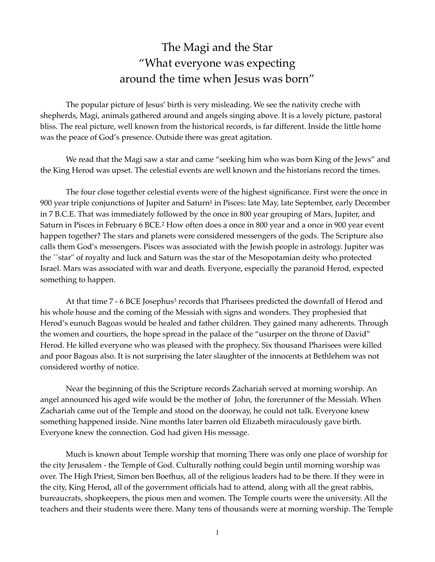## The Magi and the Star "What everyone was expecting around the time when Jesus was born"

The popular picture of Jesus' birth is very misleading. We see the nativity creche with shepherds, Magi, animals gathered around and angels singing above. It is a lovely picture, pastoral bliss. The real picture, well known from the historical records, is far different. Inside the little home was the peace of God's presence. Outside there was great agitation.

We read that the Magi saw a star and came "seeking him who was born King of the Jews" and the King Herod was upset. The celestial events are well known and the historians record the times.

<span id="page-0-1"></span><span id="page-0-0"></span>The four close together celestial events were of the highest significance. First were the once in 900 year triple co[n](#page-1-0)junctions of Jupiter and Saturn<sup>[1](#page-1-0)</sup> in Pisces: late May, late September, early December in 7 B.C.E. That was immediately followed by the once in 800 year grouping of Mars, Jupiter, and Saturn in Pisces in February 6 BCE.<sup>[2](#page-1-1)</sup> How often does a once in 800 year and a once in 900 year event happen together? The stars and planets were considered messengers of the gods. The Scripture also calls them God's messengers. Pisces was associated with the Jewish people in astrology. Jupiter was the ``star'' of royalty and luck and Saturn was the star of the Mesopotamian deity who protected Israel. Mars was associated with war and death. Everyone, especially the paranoid Herod, expected something to happen.

<span id="page-0-2"></span>At that time 7 - 6 BCE Josephus<sup>[3](#page-1-2)</sup> records that Pharisees predicted the downfall of Herod and his whole house and the coming of the Messiah with signs and wonders. They prophesied that Herod's eunuch Bagoas would be healed and father children. They gained many adherents. Through the women and courtiers, the hope spread in the palace of the "usurper on the throne of David" Herod. He killed everyone who was pleased with the prophecy. Six thousand Pharisees were killed and poor Bagoas also. It is not surprising the later slaughter of the innocents at Bethlehem was not considered worthy of notice.

Near the beginning of this the Scripture records Zachariah served at morning worship. An angel announced his aged wife would be the mother of John, the forerunner of the Messiah. When Zachariah came out of the Temple and stood on the doorway, he could not talk. Everyone knew something happened inside. Nine months later barren old Elizabeth miraculously gave birth. Everyone knew the connection. God had given His message.

Much is known about Temple worship that morning There was only one place of worship for the city Jerusalem - the Temple of God. Culturally nothing could begin until morning worship was over. The High Priest, Simon ben Boethus, all of the religious leaders had to be there. If they were in the city, King Herod, all of the government officials had to attend, along with all the great rabbis, bureaucrats, shopkeepers, the pious men and women. The Temple courts were the university. All the teachers and their students were there. Many tens of thousands were at morning worship. The Temple